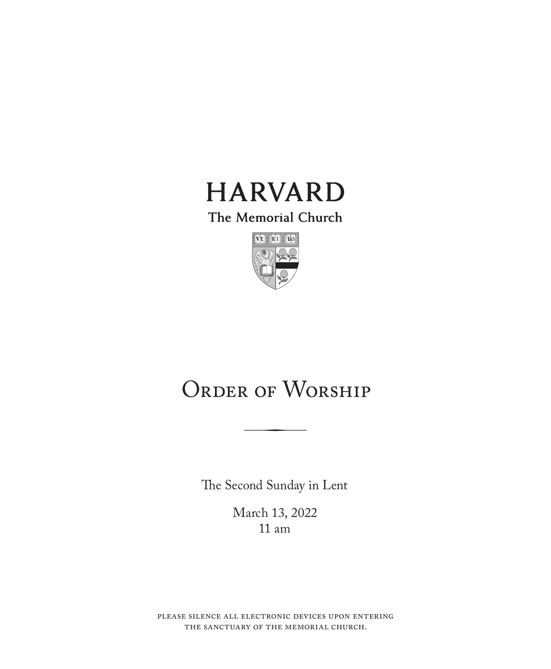

The Memorial Church



# ORDER OF WORSHIP

The Second Sunday in Lent

March 13, 2022 11 am

please silence all electronic devices upon entering the sanctuary of the memorial church.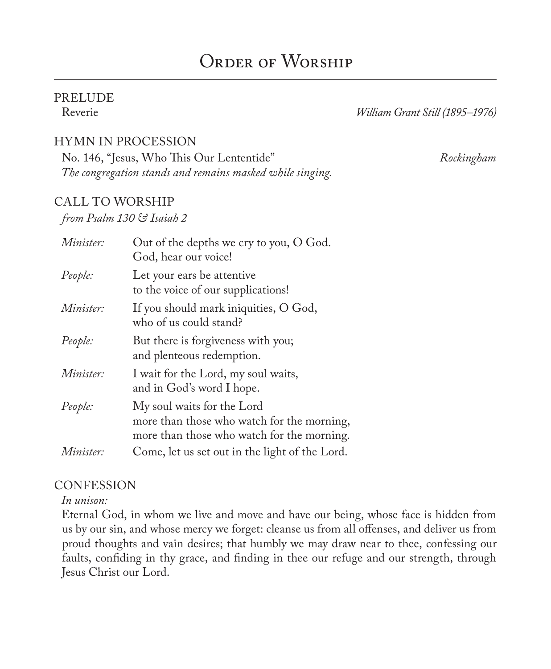# ORDER OF WORSHIP

# PRELUDE

William Grant Still (1895–1976)

#### HYMN IN PROCESSION

No. 146, "Jesus, Who This Our Lententide" *Rockingham The congregation stands and remains masked while singing.*

#### CALL TO WORSHIP

*from Psalm 130 & Isaiah 2*

| Minister:        | Out of the depths we cry to you, O God.<br>God, hear our voice!                                                        |
|------------------|------------------------------------------------------------------------------------------------------------------------|
| People:          | Let your ears be attentive<br>to the voice of our supplications!                                                       |
| <i>Minister:</i> | If you should mark iniquities, O God,<br>who of us could stand?                                                        |
| People:          | But there is forgiveness with you;<br>and plenteous redemption.                                                        |
| Minister:        | I wait for the Lord, my soul waits,<br>and in God's word I hope.                                                       |
| People:          | My soul waits for the Lord<br>more than those who watch for the morning,<br>more than those who watch for the morning. |
| <i>Minister:</i> | Come, let us set out in the light of the Lord.                                                                         |

#### **CONFESSION**

*In unison:*

Eternal God, in whom we live and move and have our being, whose face is hidden from us by our sin, and whose mercy we forget: cleanse us from all offenses, and deliver us from proud thoughts and vain desires; that humbly we may draw near to thee, confessing our faults, confiding in thy grace, and finding in thee our refuge and our strength, through Jesus Christ our Lord.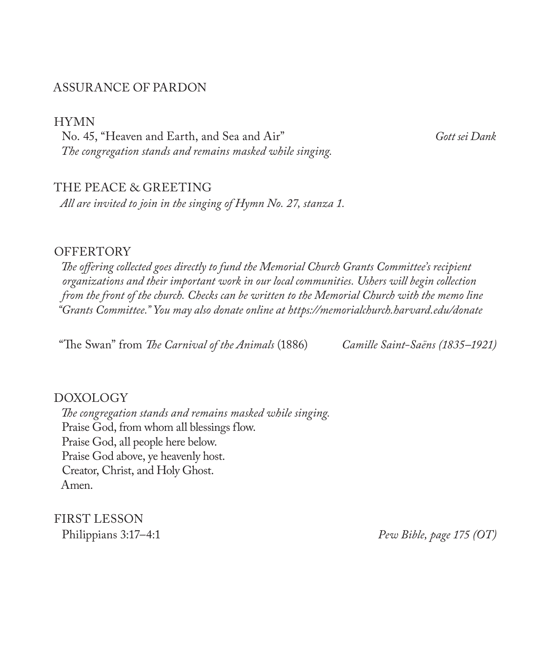#### ASSURANCE OF PARDON

HYMN

No. 45, "Heaven and Earth, and Sea and Air" *Gott sei Dank The congregation stands and remains masked while singing.*

#### THE PEACE & GREETING

*All are invited to join in the singing of Hymn No. 27, stanza 1.*

#### **OFFERTORY**

*The offering collected goes directly to fund the Memorial Church Grants Committee's recipient organizations and their important work in our local communities. Ushers will begin collection from the front of the church. Checks can be written to the Memorial Church with the memo line "Grants Committee." You may also donate online at https://memorialchurch.harvard.edu/donate* 

"The Swan" from *The Carnival of the Animals* (1886) *Camille Saint-Saëns (1835–1921)*

#### DOXOLOGY

*The congregation stands and remains masked while singing.* Praise God, from whom all blessings flow. Praise God, all people here below. Praise God above, ye heavenly host. Creator, Christ, and Holy Ghost. Amen.

FIRST LESSON

Philippians 3:17–4:1 *Pew Bible, page 175 (OT)*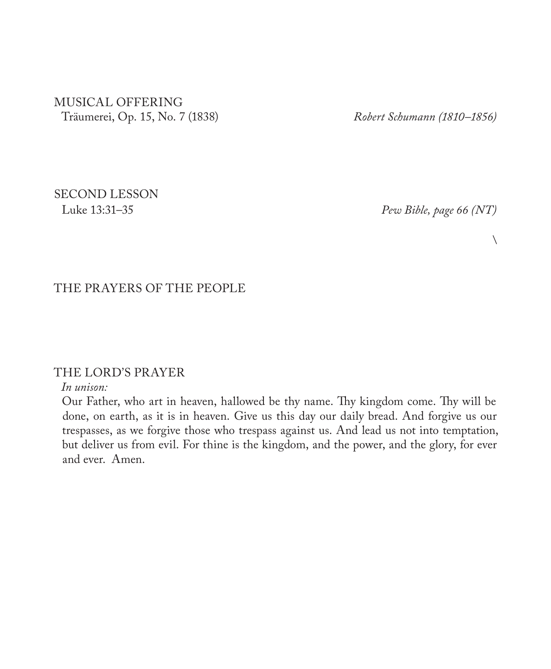#### MUSICAL OFFERING Träumerei, Op. 15, No. 7 (1838) *Robert Schumann (1810–1856)*

SECOND LESSON

Luke 13:31–35 *Pew Bible, page 66 (NT)*

 $\setminus$ 

### THE PRAYERS OF THE PEOPLE

#### THE LORD'S PRAYER

#### *In unison:*

Our Father, who art in heaven, hallowed be thy name. Thy kingdom come. Thy will be done, on earth, as it is in heaven. Give us this day our daily bread. And forgive us our trespasses, as we forgive those who trespass against us. And lead us not into temptation, but deliver us from evil. For thine is the kingdom, and the power, and the glory, for ever and ever. Amen.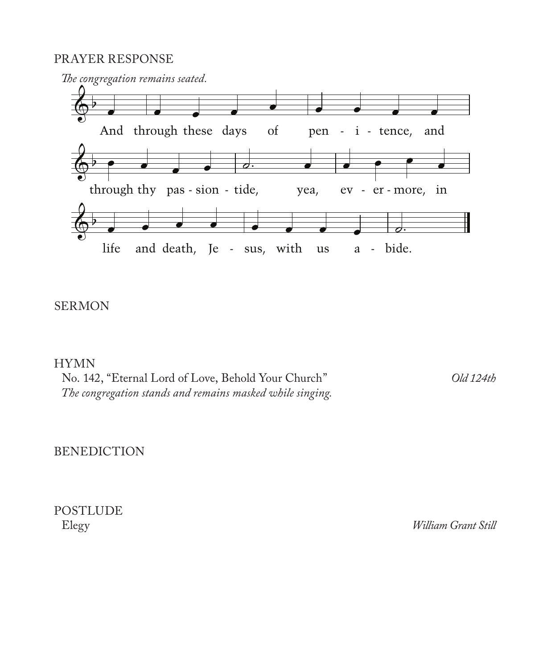#### PRAYER RESPONSE



#### SERMON

#### HYMN

No. 142, "Eternal Lord of Love, Behold Your Church" *Old 124th The congregation stands and remains masked while singing.*

#### BENEDICTION

POSTLUDE

William Grant Still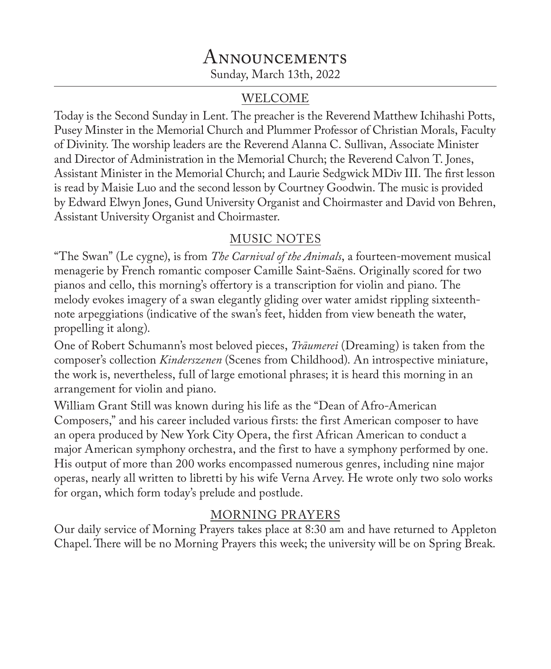# **ANNOUNCEMENTS** Sunday, March 13th, 2022

#### WELCOME

Today is the Second Sunday in Lent. The preacher is the Reverend Matthew Ichihashi Potts, Pusey Minster in the Memorial Church and Plummer Professor of Christian Morals, Faculty of Divinity. The worship leaders are the Reverend Alanna C. Sullivan, Associate Minister and Director of Administration in the Memorial Church; the Reverend Calvon T. Jones, Assistant Minister in the Memorial Church; and Laurie Sedgwick MDiv III. The first lesson is read by Maisie Luo and the second lesson by Courtney Goodwin. The music is provided by Edward Elwyn Jones, Gund University Organist and Choirmaster and David von Behren, Assistant University Organist and Choirmaster.

## MUSIC NOTES

"The Swan" (Le cygne), is from *The Carnival of the Animals*, a fourteen-movement musical menagerie by French romantic composer Camille Saint-Saëns. Originally scored for two pianos and cello, this morning's offertory is a transcription for violin and piano. The melody evokes imagery of a swan elegantly gliding over water amidst rippling sixteenthnote arpeggiations (indicative of the swan's feet, hidden from view beneath the water, propelling it along).

One of Robert Schumann's most beloved pieces, *Träumerei* (Dreaming) is taken from the composer's collection *Kinderszenen* (Scenes from Childhood). An introspective miniature, the work is, nevertheless, full of large emotional phrases; it is heard this morning in an arrangement for violin and piano.

William Grant Still was known during his life as the "Dean of Afro-American Composers," and his career included various firsts: the first American composer to have an opera produced by New York City Opera, the first African American to conduct a major American symphony orchestra, and the first to have a symphony performed by one. His output of more than 200 works encompassed numerous genres, including nine major operas, nearly all written to libretti by his wife Verna Arvey. He wrote only two solo works for organ, which form today's prelude and postlude.

# MORNING PRAYERS

Our daily service of Morning Prayers takes place at 8:30 am and have returned to Appleton Chapel. There will be no Morning Prayers this week; the university will be on Spring Break.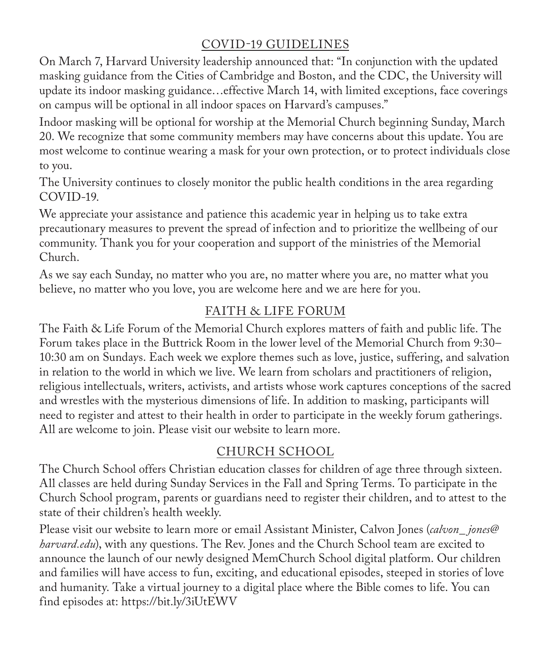# COVID-19 GUIDELINES

On March 7, Harvard University leadership announced that: "In conjunction with the updated masking guidance from the Cities of Cambridge and Boston, and the CDC, the University will update its indoor masking guidance…effective March 14, with limited exceptions, face coverings on campus will be optional in all indoor spaces on Harvard's campuses."

Indoor masking will be optional for worship at the Memorial Church beginning Sunday, March 20. We recognize that some community members may have concerns about this update. You are most welcome to continue wearing a mask for your own protection, or to protect individuals close to you.

The University continues to closely monitor the public health conditions in the area regarding COVID-19.

We appreciate your assistance and patience this academic year in helping us to take extra precautionary measures to prevent the spread of infection and to prioritize the wellbeing of our community. Thank you for your cooperation and support of the ministries of the Memorial Church.

As we say each Sunday, no matter who you are, no matter where you are, no matter what you believe, no matter who you love, you are welcome here and we are here for you.

# FAITH & LIFE FORUM

The Faith & Life Forum of the Memorial Church explores matters of faith and public life. The Forum takes place in the Buttrick Room in the lower level of the Memorial Church from 9:30– 10:30 am on Sundays. Each week we explore themes such as love, justice, suffering, and salvation in relation to the world in which we live. We learn from scholars and practitioners of religion, religious intellectuals, writers, activists, and artists whose work captures conceptions of the sacred and wrestles with the mysterious dimensions of life. In addition to masking, participants will need to register and attest to their health in order to participate in the weekly forum gatherings. All are welcome to join. Please visit our website to learn more.

### CHURCH SCHOOL

The Church School offers Christian education classes for children of age three through sixteen. All classes are held during Sunday Services in the Fall and Spring Terms. To participate in the Church School program, parents or guardians need to register their children, and to attest to the state of their children's health weekly.

Please visit our website to learn more or email Assistant Minister, Calvon Jones (*calvon\_ jones@ harvard.edu*), with any questions. The Rev. Jones and the Church School team are excited to announce the launch of our newly designed MemChurch School digital platform. Our children and families will have access to fun, exciting, and educational episodes, steeped in stories of love and humanity. Take a virtual journey to a digital place where the Bible comes to life. You can find episodes at: https://bit.ly/3iUtEWV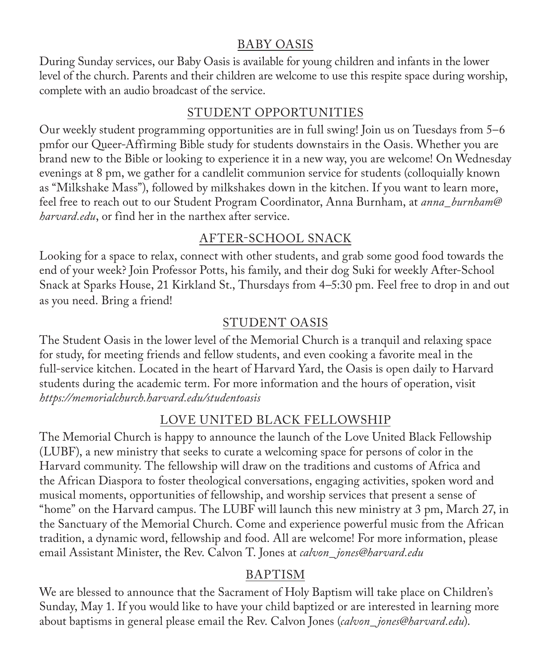### BABY OASIS

During Sunday services, our Baby Oasis is available for young children and infants in the lower level of the church. Parents and their children are welcome to use this respite space during worship, complete with an audio broadcast of the service.

### STUDENT OPPORTUNITIES

Our weekly student programming opportunities are in full swing! Join us on Tuesdays from 5–6 pmfor our Queer-Affirming Bible study for students downstairs in the Oasis. Whether you are brand new to the Bible or looking to experience it in a new way, you are welcome! On Wednesday evenings at 8 pm, we gather for a candlelit communion service for students (colloquially known as "Milkshake Mass"), followed by milkshakes down in the kitchen. If you want to learn more, feel free to reach out to our Student Program Coordinator, Anna Burnham, at *anna\_burnham@ harvard.edu*, or find her in the narthex after service.

## AFTER-SCHOOL SNACK

Looking for a space to relax, connect with other students, and grab some good food towards the end of your week? Join Professor Potts, his family, and their dog Suki for weekly After-School Snack at Sparks House, 21 Kirkland St., Thursdays from 4–5:30 pm. Feel free to drop in and out as you need. Bring a friend!

# STUDENT OASIS

The Student Oasis in the lower level of the Memorial Church is a tranquil and relaxing space for study, for meeting friends and fellow students, and even cooking a favorite meal in the full-service kitchen. Located in the heart of Harvard Yard, the Oasis is open daily to Harvard students during the academic term. For more information and the hours of operation, visit *https://memorialchurch.harvard.edu/studentoasis*

### LOVE UNITED BLACK FELLOWSHIP

The Memorial Church is happy to announce the launch of the Love United Black Fellowship (LUBF), a new ministry that seeks to curate a welcoming space for persons of color in the Harvard community. The fellowship will draw on the traditions and customs of Africa and the African Diaspora to foster theological conversations, engaging activities, spoken word and musical moments, opportunities of fellowship, and worship services that present a sense of "home" on the Harvard campus. The LUBF will launch this new ministry at 3 pm, March 27, in the Sanctuary of the Memorial Church. Come and experience powerful music from the African tradition, a dynamic word, fellowship and food. All are welcome! For more information, please email Assistant Minister, the Rev. Calvon T. Jones at *calvon\_ jones@harvard.edu*

# BAPTISM

We are blessed to announce that the Sacrament of Holy Baptism will take place on Children's Sunday, May 1. If you would like to have your child baptized or are interested in learning more about baptisms in general please email the Rev. Calvon Jones (*calvon\_ jones@harvard.edu*).